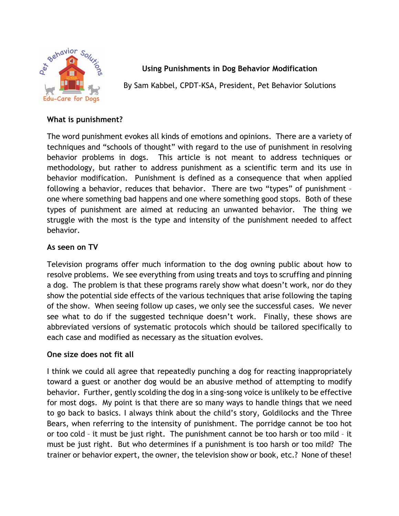

**Using Punishments in Dog Behavior Modification**

By Sam Kabbel, CPDT-KSA, President, Pet Behavior Solutions

## **What is punishment?**

The word punishment evokes all kinds of emotions and opinions. There are a variety of techniques and "schools of thought" with regard to the use of punishment in resolving behavior problems in dogs. This article is not meant to address techniques or methodology, but rather to address punishment as a scientific term and its use in behavior modification. Punishment is defined as a consequence that when applied following a behavior, reduces that behavior. There are two "types" of punishment – one where something bad happens and one where something good stops. Both of these types of punishment are aimed at reducing an unwanted behavior. The thing we struggle with the most is the type and intensity of the punishment needed to affect behavior.

# **As seen on TV**

Television programs offer much information to the dog owning public about how to resolve problems. We see everything from using treats and toys to scruffing and pinning a dog. The problem is that these programs rarely show what doesn't work, nor do they show the potential side effects of the various techniques that arise following the taping of the show. When seeing follow up cases, we only see the successful cases. We never see what to do if the suggested technique doesn't work. Finally, these shows are abbreviated versions of systematic protocols which should be tailored specifically to each case and modified as necessary as the situation evolves.

# **One size does not fit all**

I think we could all agree that repeatedly punching a dog for reacting inappropriately toward a guest or another dog would be an abusive method of attempting to modify behavior. Further, gently scolding the dog in a sing-song voice is unlikely to be effective for most dogs. My point is that there are so many ways to handle things that we need to go back to basics. I always think about the child's story, Goldilocks and the Three Bears, when referring to the intensity of punishment. The porridge cannot be too hot or too cold – it must be just right. The punishment cannot be too harsh or too mild – it must be just right. But who determines if a punishment is too harsh or too mild? The trainer or behavior expert, the owner, the television show or book, etc.? None of these!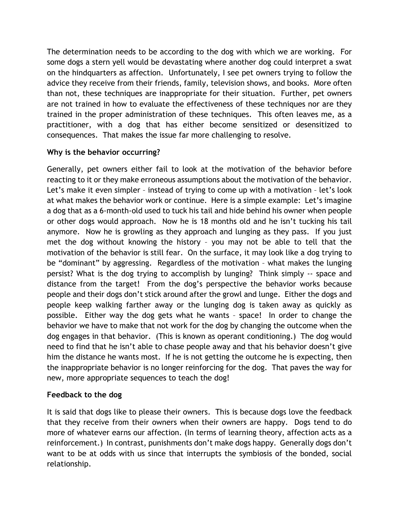The determination needs to be according to the dog with which we are working. For some dogs a stern yell would be devastating where another dog could interpret a swat on the hindquarters as affection. Unfortunately, I see pet owners trying to follow the advice they receive from their friends, family, television shows, and books. More often than not, these techniques are inappropriate for their situation. Further, pet owners are not trained in how to evaluate the effectiveness of these techniques nor are they trained in the proper administration of these techniques. This often leaves me, as a practitioner, with a dog that has either become sensitized or desensitized to consequences. That makes the issue far more challenging to resolve.

### **Why is the behavior occurring?**

Generally, pet owners either fail to look at the motivation of the behavior before reacting to it or they make erroneous assumptions about the motivation of the behavior. Let's make it even simpler – instead of trying to come up with a motivation – let's look at what makes the behavior work or continue. Here is a simple example: Let's imagine a dog that as a 6-month-old used to tuck his tail and hide behind his owner when people or other dogs would approach. Now he is 18 months old and he isn't tucking his tail anymore. Now he is growling as they approach and lunging as they pass. If you just met the dog without knowing the history – you may not be able to tell that the motivation of the behavior is still fear. On the surface, it may look like a dog trying to be "dominant" by aggressing. Regardless of the motivation – what makes the lunging persist? What is the dog trying to accomplish by lunging? Think simply -- space and distance from the target! From the dog's perspective the behavior works because people and their dogs don't stick around after the growl and lunge. Either the dogs and people keep walking farther away or the lunging dog is taken away as quickly as possible. Either way the dog gets what he wants – space! In order to change the behavior we have to make that not work for the dog by changing the outcome when the dog engages in that behavior. (This is known as operant conditioning.) The dog would need to find that he isn't able to chase people away and that his behavior doesn't give him the distance he wants most. If he is not getting the outcome he is expecting, then the inappropriate behavior is no longer reinforcing for the dog. That paves the way for new, more appropriate sequences to teach the dog!

### **Feedback to the dog**

It is said that dogs like to please their owners. This is because dogs love the feedback that they receive from their owners when their owners are happy. Dogs tend to do more of whatever earns our affection. (In terms of learning theory, affection acts as a reinforcement.) In contrast, punishments don't make dogs happy. Generally dogs don't want to be at odds with us since that interrupts the symbiosis of the bonded, social relationship.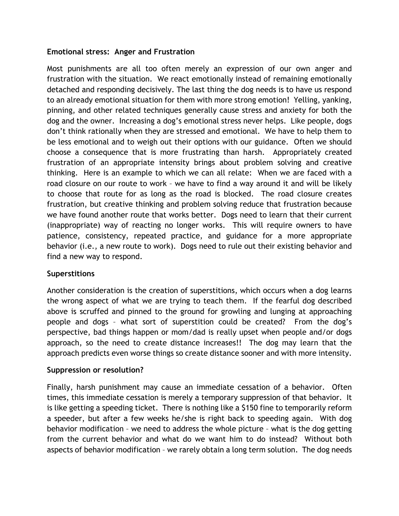#### **Emotional stress: Anger and Frustration**

Most punishments are all too often merely an expression of our own anger and frustration with the situation. We react emotionally instead of remaining emotionally detached and responding decisively. The last thing the dog needs is to have us respond to an already emotional situation for them with more strong emotion! Yelling, yanking, pinning, and other related techniques generally cause stress and anxiety for both the dog and the owner. Increasing a dog's emotional stress never helps. Like people, dogs don't think rationally when they are stressed and emotional. We have to help them to be less emotional and to weigh out their options with our guidance. Often we should choose a consequence that is more frustrating than harsh. Appropriately created frustration of an appropriate intensity brings about problem solving and creative thinking. Here is an example to which we can all relate: When we are faced with a road closure on our route to work – we have to find a way around it and will be likely to choose that route for as long as the road is blocked. The road closure creates frustration, but creative thinking and problem solving reduce that frustration because we have found another route that works better. Dogs need to learn that their current (inappropriate) way of reacting no longer works. This will require owners to have patience, consistency, repeated practice, and guidance for a more appropriate behavior (i.e., a new route to work). Dogs need to rule out their existing behavior and find a new way to respond.

### **Superstitions**

Another consideration is the creation of superstitions, which occurs when a dog learns the wrong aspect of what we are trying to teach them. If the fearful dog described above is scruffed and pinned to the ground for growling and lunging at approaching people and dogs – what sort of superstition could be created? From the dog's perspective, bad things happen or mom/dad is really upset when people and/or dogs approach, so the need to create distance increases!! The dog may learn that the approach predicts even worse things so create distance sooner and with more intensity.

#### **Suppression or resolution?**

Finally, harsh punishment may cause an immediate cessation of a behavior. Often times, this immediate cessation is merely a temporary suppression of that behavior. It is like getting a speeding ticket. There is nothing like a \$150 fine to temporarily reform a speeder, but after a few weeks he/she is right back to speeding again. With dog behavior modification – we need to address the whole picture – what is the dog getting from the current behavior and what do we want him to do instead? Without both aspects of behavior modification – we rarely obtain a long term solution. The dog needs